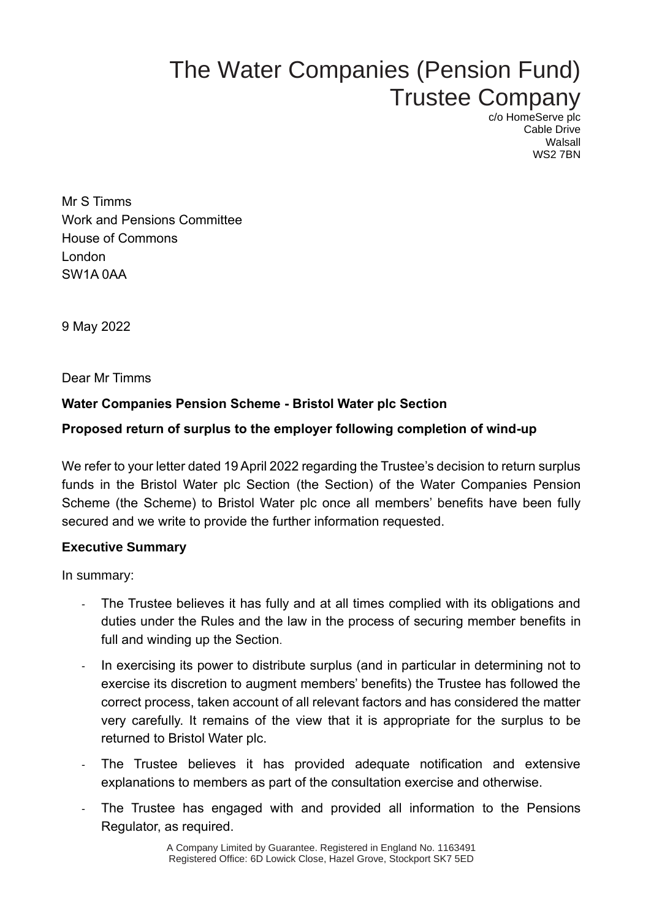# The Water Companies (Pension Fund) Trustee Company

c/o HomeServe plc Cable Drive Walsall WS2 7BN

Mr S Timms Work and Pensions Committee House of Commons London SW1A 0AA

9 May 2022

Dear Mr Timms

# **Water Companies Pension Scheme - Bristol Water plc Section**

# **Proposed return of surplus to the employer following completion of wind-up**

We refer to your letter dated 19 April 2022 regarding the Trustee's decision to return surplus funds in the Bristol Water plc Section (the Section) of the Water Companies Pension Scheme (the Scheme) to Bristol Water plc once all members' benefits have been fully secured and we write to provide the further information requested.

## **Executive Summary**

In summary:

- The Trustee believes it has fully and at all times complied with its obligations and duties under the Rules and the law in the process of securing member benefits in full and winding up the Section.
- In exercising its power to distribute surplus (and in particular in determining not to exercise its discretion to augment members' benefits) the Trustee has followed the correct process, taken account of all relevant factors and has considered the matter very carefully. It remains of the view that it is appropriate for the surplus to be returned to Bristol Water plc.
- The Trustee believes it has provided adequate notification and extensive explanations to members as part of the consultation exercise and otherwise.
- The Trustee has engaged with and provided all information to the Pensions Regulator, as required.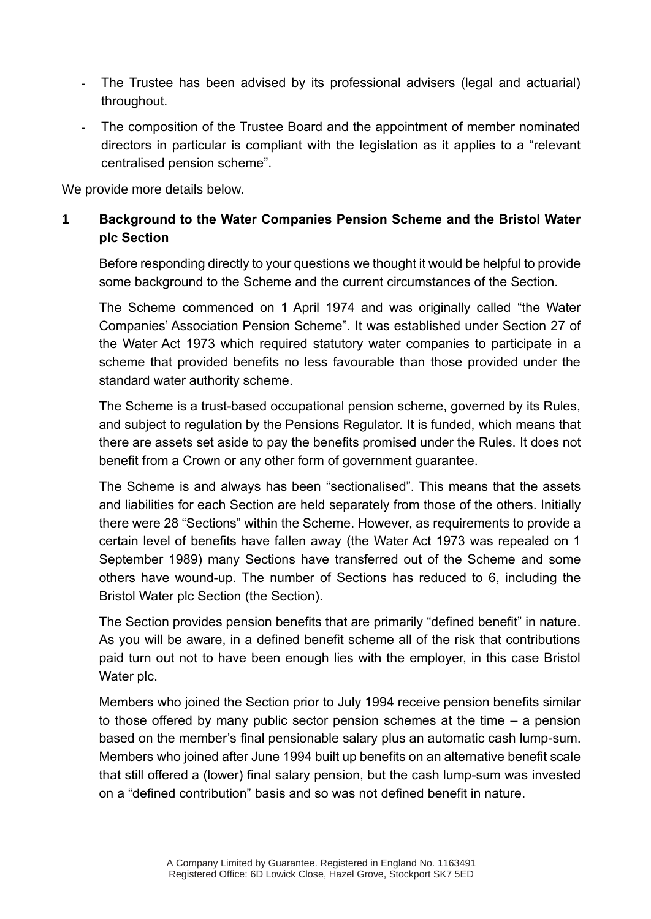- The Trustee has been advised by its professional advisers (legal and actuarial) throughout.
- The composition of the Trustee Board and the appointment of member nominated directors in particular is compliant with the legislation as it applies to a "relevant centralised pension scheme".

We provide more details below.

# **1 Background to the Water Companies Pension Scheme and the Bristol Water plc Section**

Before responding directly to your questions we thought it would be helpful to provide some background to the Scheme and the current circumstances of the Section.

The Scheme commenced on 1 April 1974 and was originally called "the Water Companies' Association Pension Scheme". It was established under Section 27 of the Water Act 1973 which required statutory water companies to participate in a scheme that provided benefits no less favourable than those provided under the standard water authority scheme.

The Scheme is a trust-based occupational pension scheme, governed by its Rules, and subject to regulation by the Pensions Regulator. It is funded, which means that there are assets set aside to pay the benefits promised under the Rules. It does not benefit from a Crown or any other form of government guarantee.

The Scheme is and always has been "sectionalised". This means that the assets and liabilities for each Section are held separately from those of the others. Initially there were 28 "Sections" within the Scheme. However, as requirements to provide a certain level of benefits have fallen away (the Water Act 1973 was repealed on 1 September 1989) many Sections have transferred out of the Scheme and some others have wound-up. The number of Sections has reduced to 6, including the Bristol Water plc Section (the Section).

The Section provides pension benefits that are primarily "defined benefit" in nature. As you will be aware, in a defined benefit scheme all of the risk that contributions paid turn out not to have been enough lies with the employer, in this case Bristol Water plc.

Members who joined the Section prior to July 1994 receive pension benefits similar to those offered by many public sector pension schemes at the time – a pension based on the member's final pensionable salary plus an automatic cash lump-sum. Members who joined after June 1994 built up benefits on an alternative benefit scale that still offered a (lower) final salary pension, but the cash lump-sum was invested on a "defined contribution" basis and so was not defined benefit in nature.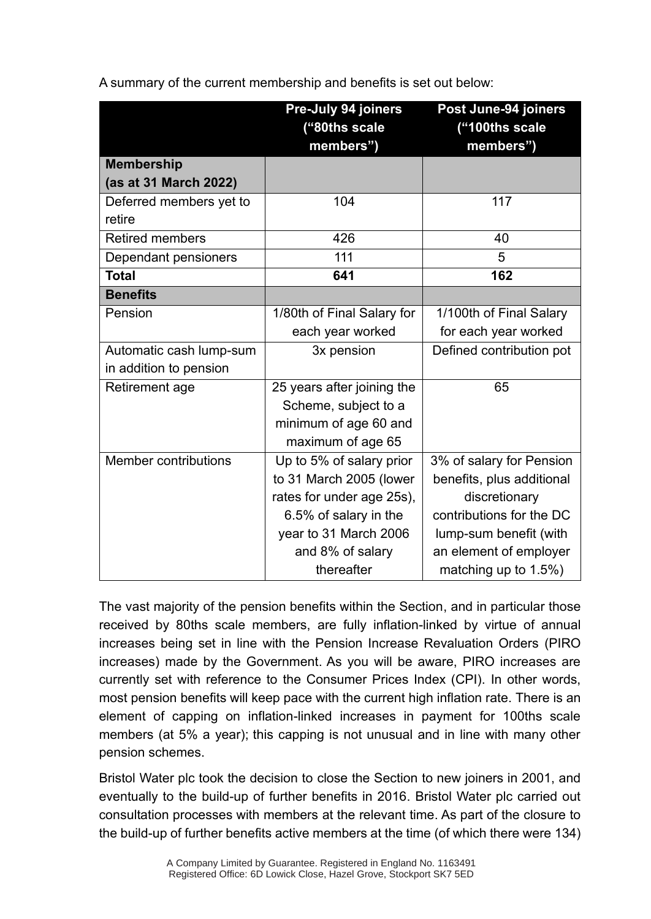A summary of the current membership and benefits is set out below:

|                         | Pre-July 94 joiners<br>("80ths scale<br>members") | Post June-94 joiners<br>("100ths scale<br>members") |
|-------------------------|---------------------------------------------------|-----------------------------------------------------|
| <b>Membership</b>       |                                                   |                                                     |
| (as at 31 March 2022)   |                                                   |                                                     |
| Deferred members yet to | 104                                               | 117                                                 |
| retire                  |                                                   |                                                     |
| <b>Retired members</b>  | 426                                               | 40                                                  |
| Dependant pensioners    | 111                                               | 5                                                   |
| <b>Total</b>            | 641                                               | 162                                                 |
| <b>Benefits</b>         |                                                   |                                                     |
| Pension                 | 1/80th of Final Salary for                        | 1/100th of Final Salary                             |
|                         | each year worked                                  | for each year worked                                |
| Automatic cash lump-sum | 3x pension                                        | Defined contribution pot                            |
| in addition to pension  |                                                   |                                                     |
| Retirement age          | 25 years after joining the                        | 65                                                  |
|                         | Scheme, subject to a                              |                                                     |
|                         | minimum of age 60 and                             |                                                     |
|                         | maximum of age 65                                 |                                                     |
| Member contributions    | Up to 5% of salary prior                          | 3% of salary for Pension                            |
|                         | to 31 March 2005 (lower                           | benefits, plus additional                           |
|                         | rates for under age 25s),                         | discretionary                                       |
|                         | 6.5% of salary in the                             | contributions for the DC                            |
|                         | year to 31 March 2006                             | lump-sum benefit (with                              |
|                         | and 8% of salary                                  | an element of employer                              |
|                         | thereafter                                        | matching up to 1.5%)                                |

The vast majority of the pension benefits within the Section, and in particular those received by 80ths scale members, are fully inflation-linked by virtue of annual increases being set in line with the Pension Increase Revaluation Orders (PIRO increases) made by the Government. As you will be aware, PIRO increases are currently set with reference to the Consumer Prices Index (CPI). In other words, most pension benefits will keep pace with the current high inflation rate. There is an element of capping on inflation-linked increases in payment for 100ths scale members (at 5% a year); this capping is not unusual and in line with many other pension schemes.

Bristol Water plc took the decision to close the Section to new joiners in 2001, and eventually to the build-up of further benefits in 2016. Bristol Water plc carried out consultation processes with members at the relevant time. As part of the closure to the build-up of further benefits active members at the time (of which there were 134)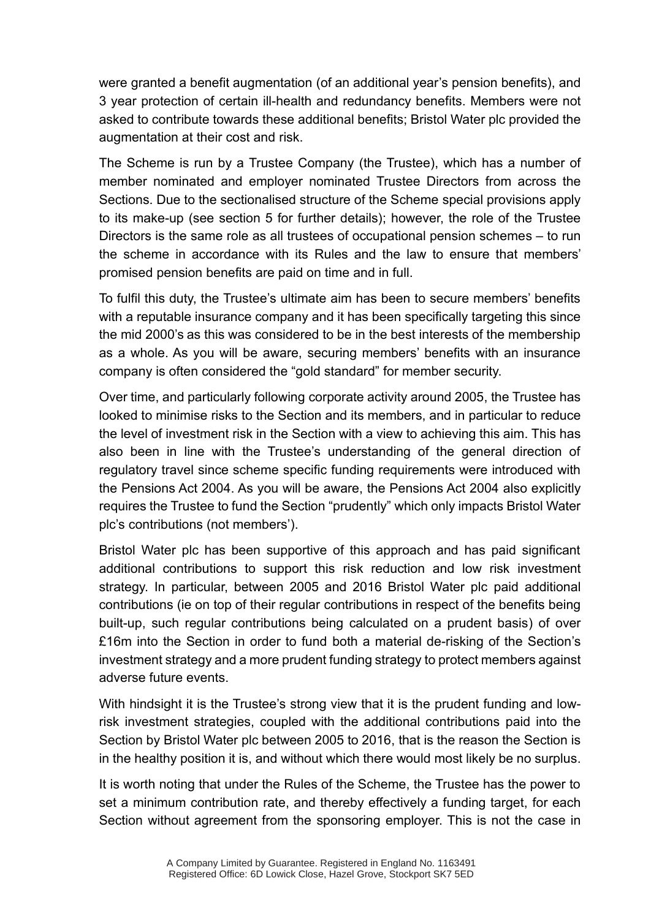were granted a benefit augmentation (of an additional year's pension benefits), and 3 year protection of certain ill-health and redundancy benefits. Members were not asked to contribute towards these additional benefits; Bristol Water plc provided the augmentation at their cost and risk.

The Scheme is run by a Trustee Company (the Trustee), which has a number of member nominated and employer nominated Trustee Directors from across the Sections. Due to the sectionalised structure of the Scheme special provisions apply to its make-up (see section 5 for further details); however, the role of the Trustee Directors is the same role as all trustees of occupational pension schemes – to run the scheme in accordance with its Rules and the law to ensure that members' promised pension benefits are paid on time and in full.

To fulfil this duty, the Trustee's ultimate aim has been to secure members' benefits with a reputable insurance company and it has been specifically targeting this since the mid 2000's as this was considered to be in the best interests of the membership as a whole. As you will be aware, securing members' benefits with an insurance company is often considered the "gold standard" for member security.

Over time, and particularly following corporate activity around 2005, the Trustee has looked to minimise risks to the Section and its members, and in particular to reduce the level of investment risk in the Section with a view to achieving this aim. This has also been in line with the Trustee's understanding of the general direction of regulatory travel since scheme specific funding requirements were introduced with the Pensions Act 2004. As you will be aware, the Pensions Act 2004 also explicitly requires the Trustee to fund the Section "prudently" which only impacts Bristol Water plc's contributions (not members').

Bristol Water plc has been supportive of this approach and has paid significant additional contributions to support this risk reduction and low risk investment strategy. In particular, between 2005 and 2016 Bristol Water plc paid additional contributions (ie on top of their regular contributions in respect of the benefits being built-up, such regular contributions being calculated on a prudent basis) of over £16m into the Section in order to fund both a material de-risking of the Section's investment strategy and a more prudent funding strategy to protect members against adverse future events.

With hindsight it is the Trustee's strong view that it is the prudent funding and lowrisk investment strategies, coupled with the additional contributions paid into the Section by Bristol Water plc between 2005 to 2016, that is the reason the Section is in the healthy position it is, and without which there would most likely be no surplus.

It is worth noting that under the Rules of the Scheme, the Trustee has the power to set a minimum contribution rate, and thereby effectively a funding target, for each Section without agreement from the sponsoring employer. This is not the case in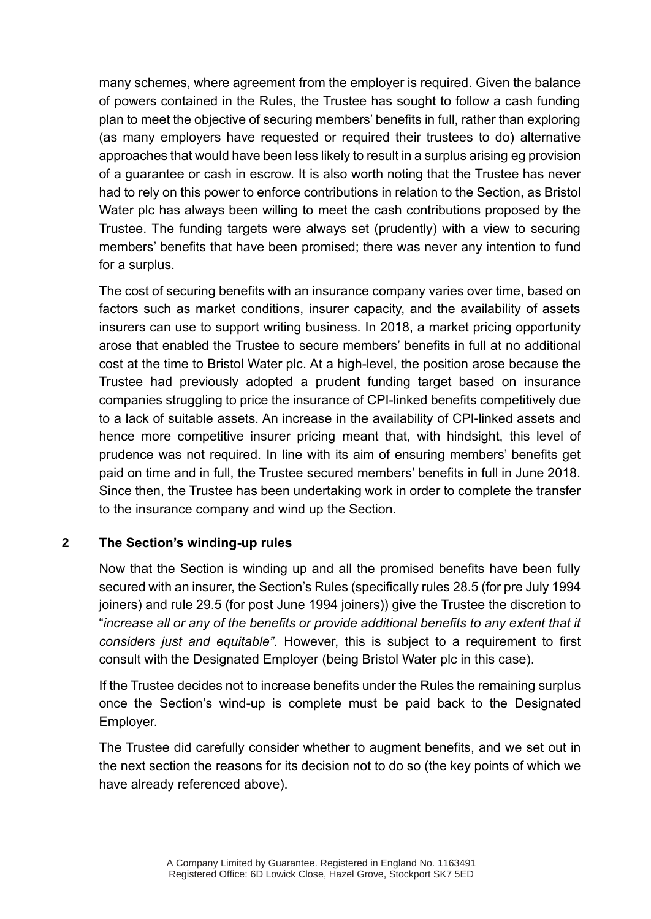many schemes, where agreement from the employer is required. Given the balance of powers contained in the Rules, the Trustee has sought to follow a cash funding plan to meet the objective of securing members' benefits in full, rather than exploring (as many employers have requested or required their trustees to do) alternative approaches that would have been less likely to result in a surplus arising eg provision of a guarantee or cash in escrow. It is also worth noting that the Trustee has never had to rely on this power to enforce contributions in relation to the Section, as Bristol Water plc has always been willing to meet the cash contributions proposed by the Trustee. The funding targets were always set (prudently) with a view to securing members' benefits that have been promised; there was never any intention to fund for a surplus.

The cost of securing benefits with an insurance company varies over time, based on factors such as market conditions, insurer capacity, and the availability of assets insurers can use to support writing business. In 2018, a market pricing opportunity arose that enabled the Trustee to secure members' benefits in full at no additional cost at the time to Bristol Water plc. At a high-level, the position arose because the Trustee had previously adopted a prudent funding target based on insurance companies struggling to price the insurance of CPI-linked benefits competitively due to a lack of suitable assets. An increase in the availability of CPI-linked assets and hence more competitive insurer pricing meant that, with hindsight, this level of prudence was not required. In line with its aim of ensuring members' benefits get paid on time and in full, the Trustee secured members' benefits in full in June 2018. Since then, the Trustee has been undertaking work in order to complete the transfer to the insurance company and wind up the Section.

## **2 The Section's winding-up rules**

Now that the Section is winding up and all the promised benefits have been fully secured with an insurer, the Section's Rules (specifically rules 28.5 (for pre July 1994 joiners) and rule 29.5 (for post June 1994 joiners)) give the Trustee the discretion to "*increase all or any of the benefits or provide additional benefits to any extent that it considers just and equitable".* However, this is subject to a requirement to first consult with the Designated Employer (being Bristol Water plc in this case).

If the Trustee decides not to increase benefits under the Rules the remaining surplus once the Section's wind-up is complete must be paid back to the Designated Employer.

The Trustee did carefully consider whether to augment benefits, and we set out in the next section the reasons for its decision not to do so (the key points of which we have already referenced above).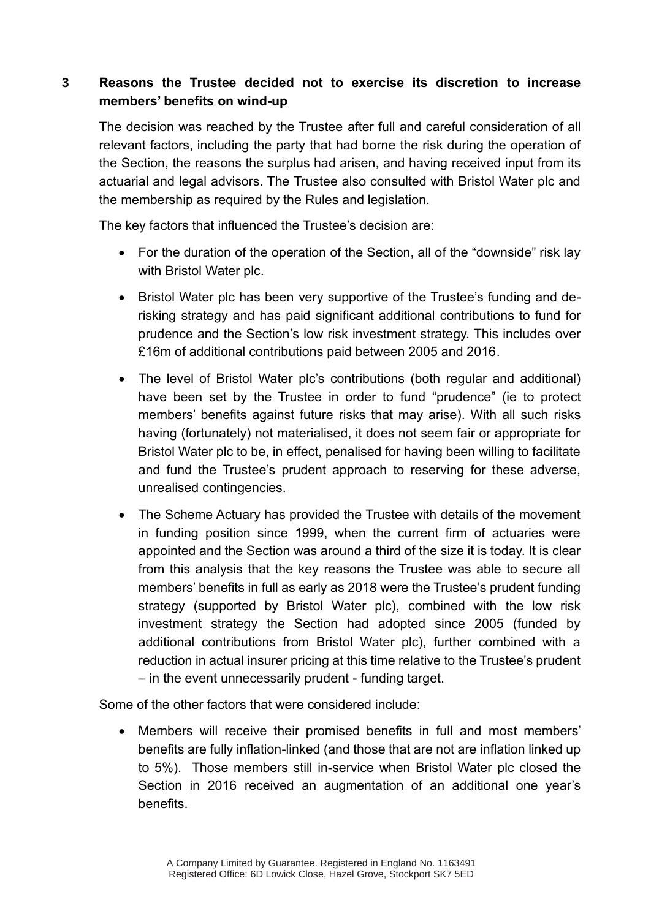# **3 Reasons the Trustee decided not to exercise its discretion to increase members' benefits on wind-up**

The decision was reached by the Trustee after full and careful consideration of all relevant factors, including the party that had borne the risk during the operation of the Section, the reasons the surplus had arisen, and having received input from its actuarial and legal advisors. The Trustee also consulted with Bristol Water plc and the membership as required by the Rules and legislation.

The key factors that influenced the Trustee's decision are:

- For the duration of the operation of the Section, all of the "downside" risk lay with Bristol Water plc.
- Bristol Water plc has been very supportive of the Trustee's funding and derisking strategy and has paid significant additional contributions to fund for prudence and the Section's low risk investment strategy. This includes over £16m of additional contributions paid between 2005 and 2016.
- The level of Bristol Water plc's contributions (both regular and additional) have been set by the Trustee in order to fund "prudence" (ie to protect members' benefits against future risks that may arise). With all such risks having (fortunately) not materialised, it does not seem fair or appropriate for Bristol Water plc to be, in effect, penalised for having been willing to facilitate and fund the Trustee's prudent approach to reserving for these adverse, unrealised contingencies.
- The Scheme Actuary has provided the Trustee with details of the movement in funding position since 1999, when the current firm of actuaries were appointed and the Section was around a third of the size it is today. It is clear from this analysis that the key reasons the Trustee was able to secure all members' benefits in full as early as 2018 were the Trustee's prudent funding strategy (supported by Bristol Water plc), combined with the low risk investment strategy the Section had adopted since 2005 (funded by additional contributions from Bristol Water plc), further combined with a reduction in actual insurer pricing at this time relative to the Trustee's prudent – in the event unnecessarily prudent - funding target.

Some of the other factors that were considered include:

• Members will receive their promised benefits in full and most members' benefits are fully inflation-linked (and those that are not are inflation linked up to 5%). Those members still in-service when Bristol Water plc closed the Section in 2016 received an augmentation of an additional one year's benefits.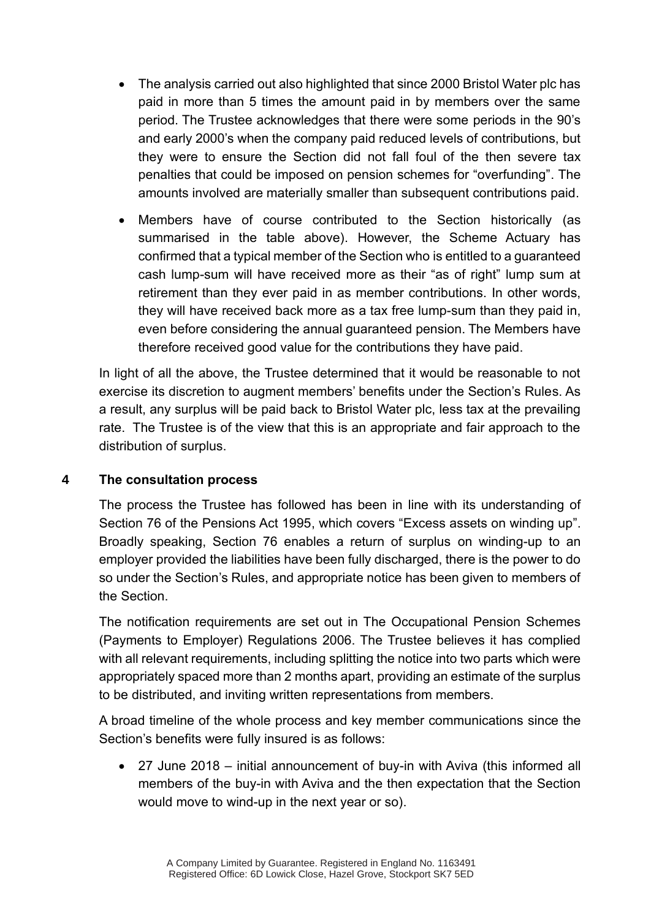- The analysis carried out also highlighted that since 2000 Bristol Water plc has paid in more than 5 times the amount paid in by members over the same period. The Trustee acknowledges that there were some periods in the 90's and early 2000's when the company paid reduced levels of contributions, but they were to ensure the Section did not fall foul of the then severe tax penalties that could be imposed on pension schemes for "overfunding". The amounts involved are materially smaller than subsequent contributions paid.
- Members have of course contributed to the Section historically (as summarised in the table above). However, the Scheme Actuary has confirmed that a typical member of the Section who is entitled to a guaranteed cash lump-sum will have received more as their "as of right" lump sum at retirement than they ever paid in as member contributions. In other words, they will have received back more as a tax free lump-sum than they paid in, even before considering the annual guaranteed pension. The Members have therefore received good value for the contributions they have paid.

In light of all the above, the Trustee determined that it would be reasonable to not exercise its discretion to augment members' benefits under the Section's Rules. As a result, any surplus will be paid back to Bristol Water plc, less tax at the prevailing rate. The Trustee is of the view that this is an appropriate and fair approach to the distribution of surplus.

## **4 The consultation process**

The process the Trustee has followed has been in line with its understanding of Section 76 of the Pensions Act 1995, which covers "Excess assets on winding up". Broadly speaking, Section 76 enables a return of surplus on winding-up to an employer provided the liabilities have been fully discharged, there is the power to do so under the Section's Rules, and appropriate notice has been given to members of the Section.

The notification requirements are set out in The Occupational Pension Schemes (Payments to Employer) Regulations 2006. The Trustee believes it has complied with all relevant requirements, including splitting the notice into two parts which were appropriately spaced more than 2 months apart, providing an estimate of the surplus to be distributed, and inviting written representations from members.

A broad timeline of the whole process and key member communications since the Section's benefits were fully insured is as follows:

• 27 June 2018 – initial announcement of buy-in with Aviva (this informed all members of the buy-in with Aviva and the then expectation that the Section would move to wind-up in the next year or so).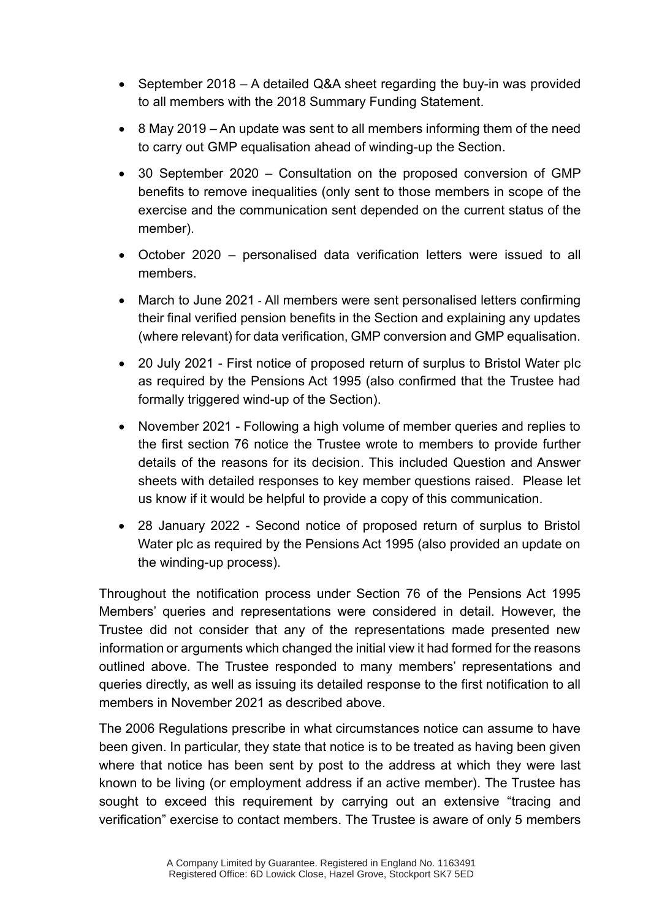- September 2018 A detailed Q&A sheet regarding the buy-in was provided to all members with the 2018 Summary Funding Statement.
- 8 May 2019 An update was sent to all members informing them of the need to carry out GMP equalisation ahead of winding-up the Section.
- 30 September 2020 Consultation on the proposed conversion of GMP benefits to remove inequalities (only sent to those members in scope of the exercise and the communication sent depended on the current status of the member).
- October 2020 personalised data verification letters were issued to all members.
- March to June 2021 All members were sent personalised letters confirming their final verified pension benefits in the Section and explaining any updates (where relevant) for data verification, GMP conversion and GMP equalisation.
- 20 July 2021 First notice of proposed return of surplus to Bristol Water plc as required by the Pensions Act 1995 (also confirmed that the Trustee had formally triggered wind-up of the Section).
- November 2021 Following a high volume of member queries and replies to the first section 76 notice the Trustee wrote to members to provide further details of the reasons for its decision. This included Question and Answer sheets with detailed responses to key member questions raised. Please let us know if it would be helpful to provide a copy of this communication.
- 28 January 2022 Second notice of proposed return of surplus to Bristol Water plc as required by the Pensions Act 1995 (also provided an update on the winding-up process).

Throughout the notification process under Section 76 of the Pensions Act 1995 Members' queries and representations were considered in detail. However, the Trustee did not consider that any of the representations made presented new information or arguments which changed the initial view it had formed for the reasons outlined above. The Trustee responded to many members' representations and queries directly, as well as issuing its detailed response to the first notification to all members in November 2021 as described above.

The 2006 Regulations prescribe in what circumstances notice can assume to have been given. In particular, they state that notice is to be treated as having been given where that notice has been sent by post to the address at which they were last known to be living (or employment address if an active member). The Trustee has sought to exceed this requirement by carrying out an extensive "tracing and verification" exercise to contact members. The Trustee is aware of only 5 members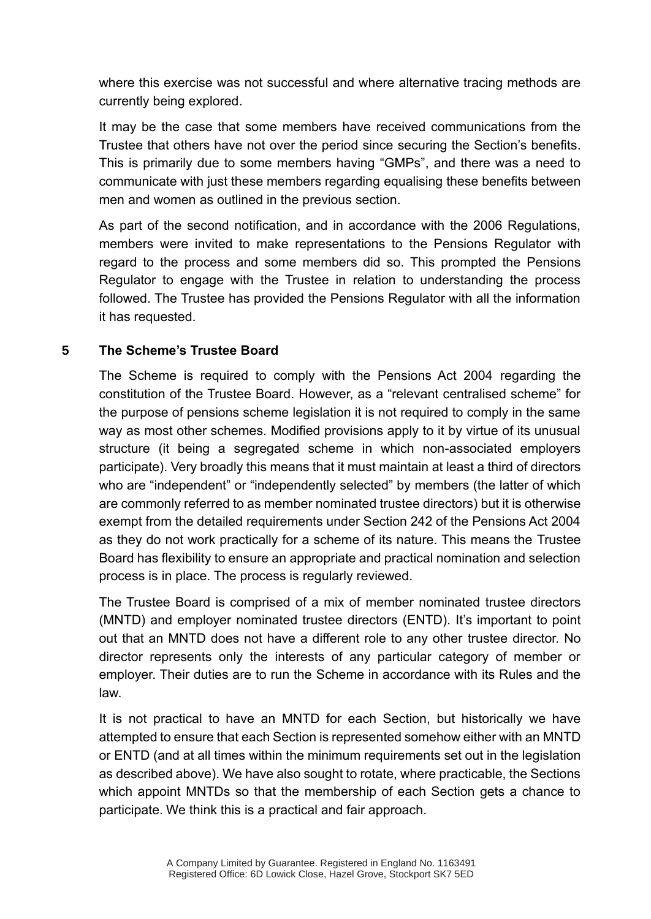where this exercise was not successful and where alternative tracing methods are currently being explored.

It may be the case that some members have received communications from the Trustee that others have not over the period since securing the Section's benefits. This is primarily due to some members having "GMPs", and there was a need to communicate with just these members regarding equalising these benefits between men and women as outlined in the previous section.

As part of the second notification, and in accordance with the 2006 Regulations, members were invited to make representations to the Pensions Regulator with regard to the process and some members did so. This prompted the Pensions Regulator to engage with the Trustee in relation to understanding the process followed. The Trustee has provided the Pensions Regulator with all the information it has requested.

#### **5 The Scheme's Trustee Board**

The Scheme is required to comply with the Pensions Act 2004 regarding the constitution of the Trustee Board. However, as a "relevant centralised scheme" for the purpose of pensions scheme legislation it is not required to comply in the same way as most other schemes. Modified provisions apply to it by virtue of its unusual structure (it being a segregated scheme in which non-associated employers participate). Very broadly this means that it must maintain at least a third of directors who are "independent" or "independently selected" by members (the latter of which are commonly referred to as member nominated trustee directors) but it is otherwise exempt from the detailed requirements under Section 242 of the Pensions Act 2004 as they do not work practically for a scheme of its nature. This means the Trustee Board has flexibility to ensure an appropriate and practical nomination and selection process is in place. The process is regularly reviewed.

The Trustee Board is comprised of a mix of member nominated trustee directors (MNTD) and employer nominated trustee directors (ENTD). It's important to point out that an MNTD does not have a different role to any other trustee director. No director represents only the interests of any particular category of member or employer. Their duties are to run the Scheme in accordance with its Rules and the law.

It is not practical to have an MNTD for each Section, but historically we have attempted to ensure that each Section is represented somehow either with an MNTD or ENTD (and at all times within the minimum requirements set out in the legislation as described above). We have also sought to rotate, where practicable, the Sections which appoint MNTDs so that the membership of each Section gets a chance to participate. We think this is a practical and fair approach.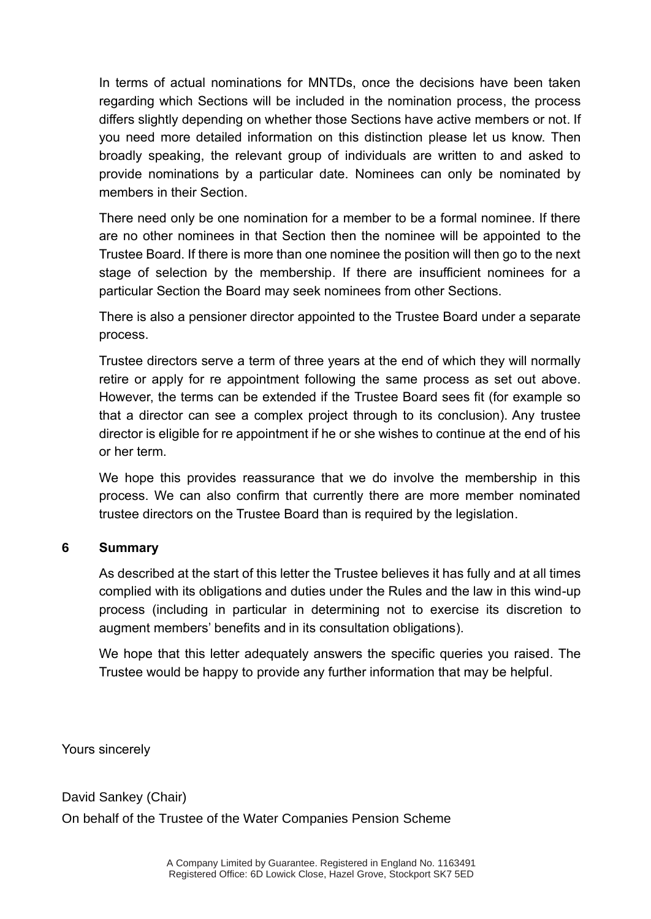In terms of actual nominations for MNTDs, once the decisions have been taken regarding which Sections will be included in the nomination process, the process differs slightly depending on whether those Sections have active members or not. If you need more detailed information on this distinction please let us know. Then broadly speaking, the relevant group of individuals are written to and asked to provide nominations by a particular date. Nominees can only be nominated by members in their Section.

There need only be one nomination for a member to be a formal nominee. If there are no other nominees in that Section then the nominee will be appointed to the Trustee Board. If there is more than one nominee the position will then go to the next stage of selection by the membership. If there are insufficient nominees for a particular Section the Board may seek nominees from other Sections.

There is also a pensioner director appointed to the Trustee Board under a separate process.

Trustee directors serve a term of three years at the end of which they will normally retire or apply for re appointment following the same process as set out above. However, the terms can be extended if the Trustee Board sees fit (for example so that a director can see a complex project through to its conclusion). Any trustee director is eligible for re appointment if he or she wishes to continue at the end of his or her term.

We hope this provides reassurance that we do involve the membership in this process. We can also confirm that currently there are more member nominated trustee directors on the Trustee Board than is required by the legislation.

#### **6 Summary**

As described at the start of this letter the Trustee believes it has fully and at all times complied with its obligations and duties under the Rules and the law in this wind-up process (including in particular in determining not to exercise its discretion to augment members' benefits and in its consultation obligations).

We hope that this letter adequately answers the specific queries you raised. The Trustee would be happy to provide any further information that may be helpful.

Yours sincerely

David Sankey (Chair) On behalf of the Trustee of the Water Companies Pension Scheme